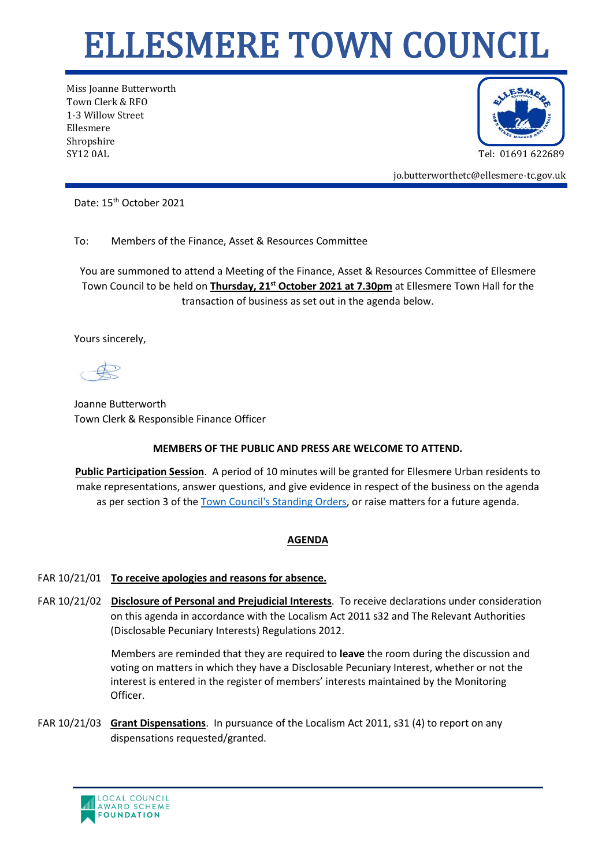## ELLESMERE TOWN COUNCIL

Miss Joanne Butterworth Town Clerk & RFO 1-3 Willow Street Ellesmere Shropshire SY12 0AL Tel: 01691 622689



jo.butterworthetc@ellesmere-tc.gov.uk

Date: 15<sup>th</sup> October 2021

To: Members of the Finance, Asset & Resources Committee

You are summoned to attend a Meeting of the Finance, Asset & Resources Committee of Ellesmere Town Council to be held on **Thursday, 21st October 2021 at 7.30pm** at Ellesmere Town Hall for the transaction of business as set out in the agenda below.

Yours sincerely,

Joanne Butterworth Town Clerk & Responsible Finance Officer

## **MEMBERS OF THE PUBLIC AND PRESS ARE WELCOME TO ATTEND.**

**Public Participation Session**. A period of 10 minutes will be granted for Ellesmere Urban residents to make representations, answer questions, and give evidence in respect of the business on the agenda as per section 3 of the [Town Council's Standing Orders,](https://ellesmere-tc.gov.uk/wp-content/uploads/2020/11/Standing-Orders-2020-England.pdf) or raise matters for a future agenda.

## **AGENDA**

## FAR 10/21/01 **To receive apologies and reasons for absence.**

FAR 10/21/02 **Disclosure of Personal and Prejudicial Interests**. To receive declarations under consideration on this agenda in accordance with the Localism Act 2011 s32 and The Relevant Authorities (Disclosable Pecuniary Interests) Regulations 2012.

> Members are reminded that they are required to **leave** the room during the discussion and voting on matters in which they have a Disclosable Pecuniary Interest, whether or not the interest is entered in the register of members' interests maintained by the Monitoring Officer.

FAR 10/21/03 **Grant Dispensations**. In pursuance of the Localism Act 2011, s31 (4) to report on any dispensations requested/granted.